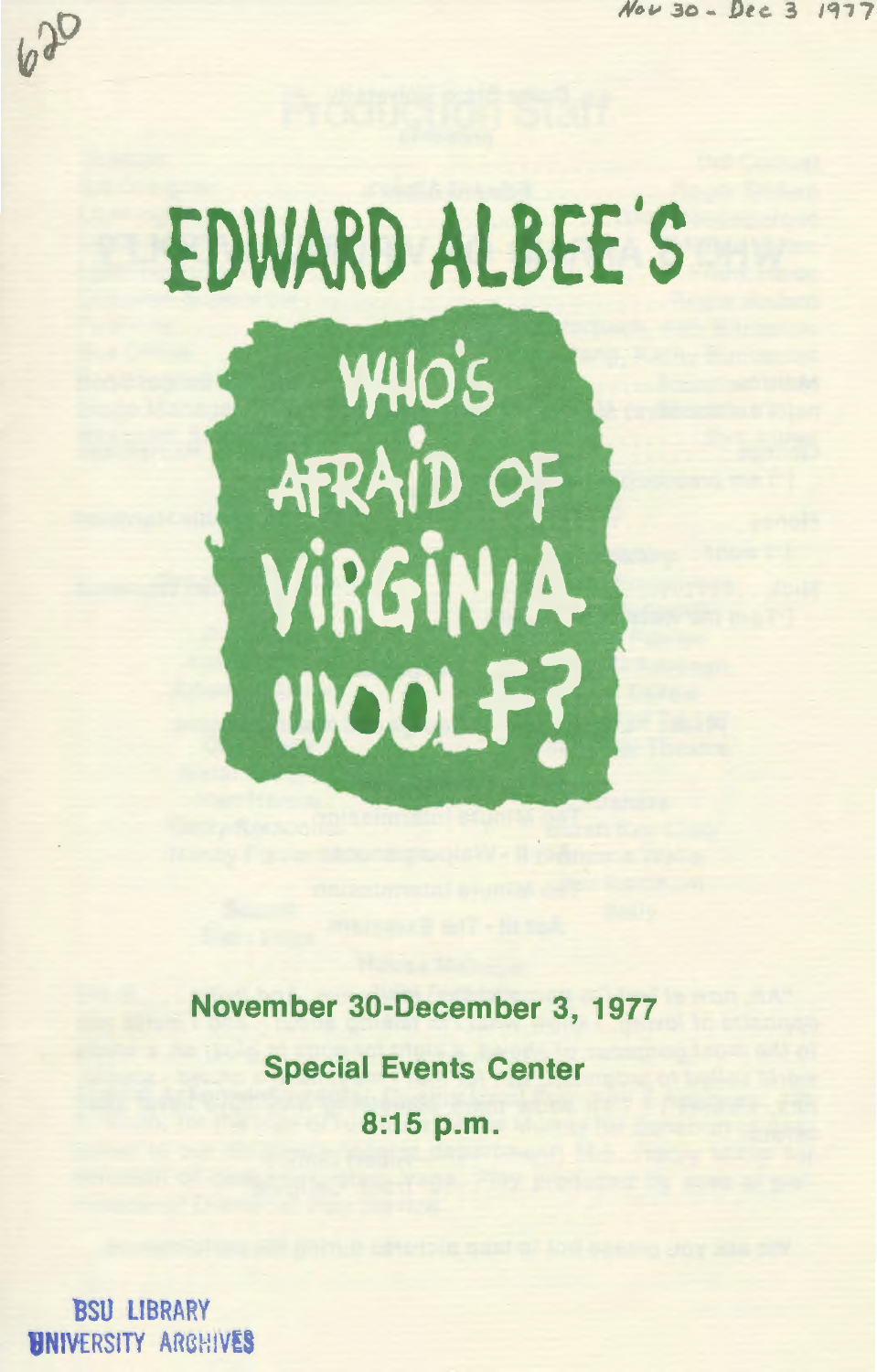$30 - 000 - 3$ 





November 30-December 3, 1977 **Special Events Center** 8:15 p.m.

**BSU LIBRARY HNIVERSITY ARGHIVES**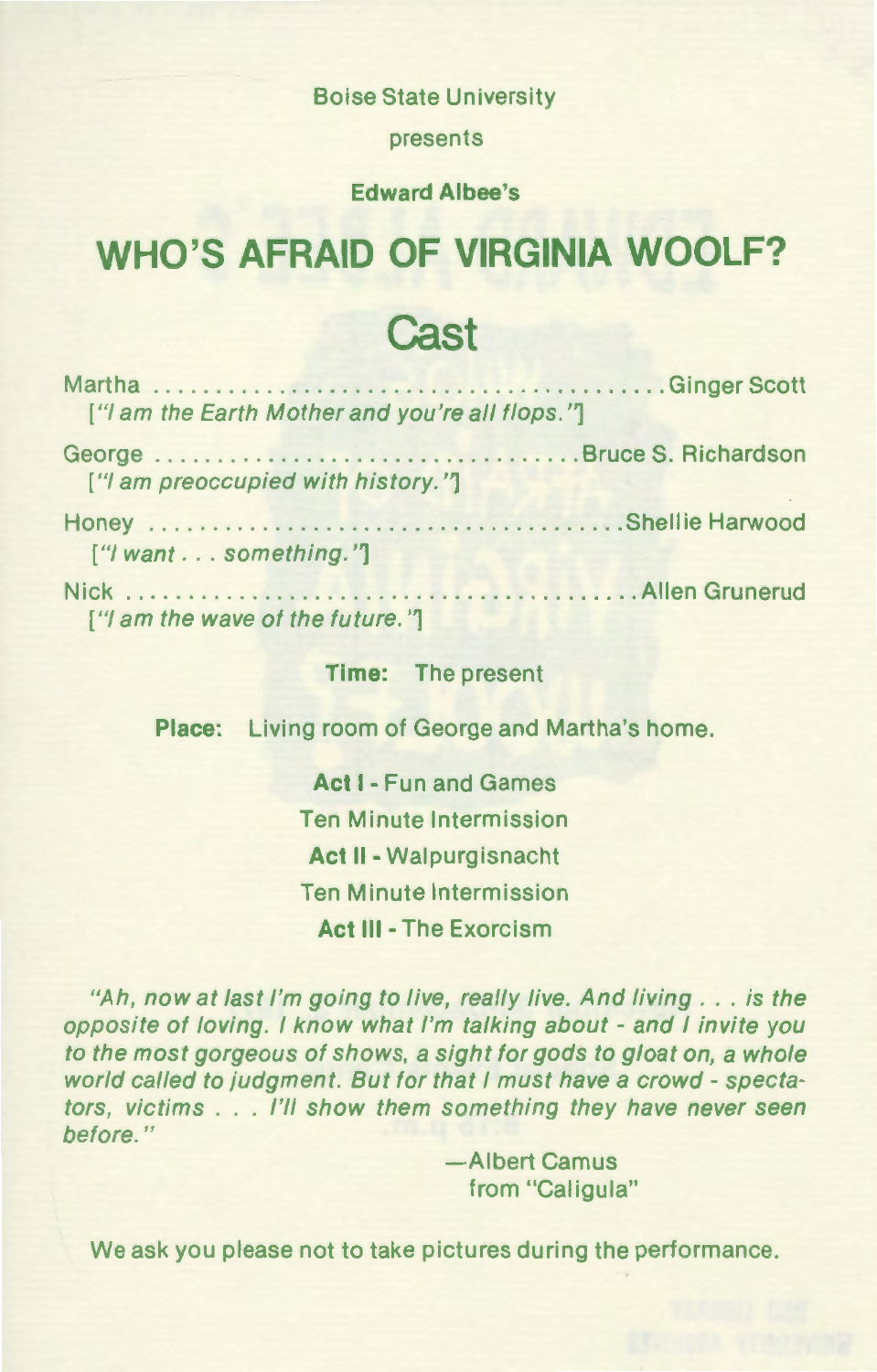Boise State University

presents

#### **Edward Albee's**

### **WHO'S AFRAID OF VIRGINIA WOOLF?**

### **Cast**

| ["I am the Earth Mother and you're all flops."] |  |
|-------------------------------------------------|--|
| ["I am preoccupied with history."]              |  |
| ["I want something."]                           |  |
| ["I am the wave of the future."]                |  |

#### **Time:** The present

**Place:** Living room of George and Martha's home.

**Act 1-** Fun and Games Ten Minute Intermission **Act** II- Walpurgisnacht Ten Minute Intermission **Act** Ill -The Exorcism

"Ah, now at last I'm going to live, really live. And living . . . is the opposite of loving. I know what I'm talking about - and I invite you to the most gorgeous of shows, a sight for gods to gloat on, a whole world called to judgment. But for that I must have a crowd- spectators, victims . . . I'll show them something they have never seen before."

> -Albert Camus from "Caligula"

We ask you please not to take pictures during the performance.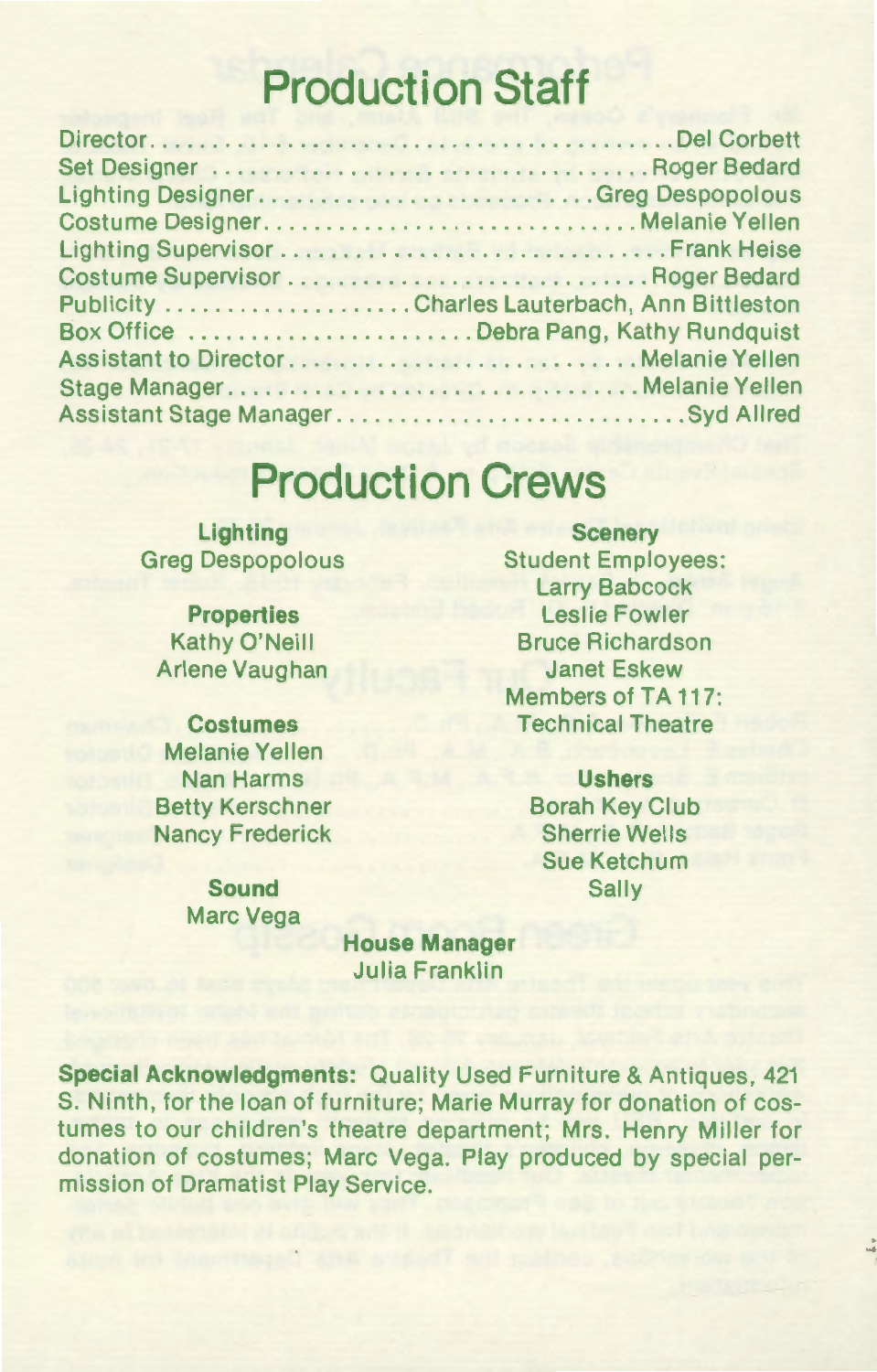# **Production Staff**

| Lighting DesignerGreg Despopolous            |
|----------------------------------------------|
| Costume DesignerMelanie Yellen               |
|                                              |
| Costume Supervisor  Roger Bedard             |
| Publicity Charles Lauterbach, Ann Bittleston |
| Box Office Debra Pang, Kathy Rundquist       |
|                                              |
| Stage ManagerMelanie Yellen                  |
| Assistant Stage Manager Syd Allred           |

# **Production Crews**

**Lighting**  Greg Despopolous

**Properties**  Kathy O'Neill Arlene Vaughan

**Costumes**  Melanie Yellen Nan Harms Betty Kerschner Nancy Frederick

> **Sound**  Marc Vega

**Scenery**  Student Employees: Larry Babcock Leslie Fowler Bruce Richardson Janet Eskew Members of TA 117: Technical Theatre

> **Ushers**  Borah Key Club Sherrie Wells Sue Ketchum Sally

**House Manager**  Julia Franklin

**Special Acknowledgments:** Quality Used Furniture & Antiques, 421 S. Ninth, for the loan of furniture; Marie Murray for donation of costumes to our children's theatre department; Mrs. Henry Miller for donation of costumes; Marc Vega. Play produced by special permission of Dramatist Play Service.